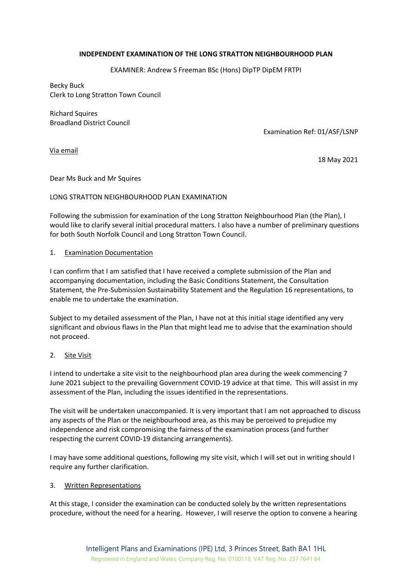## **INDEPENDENT EXAMINATION OF THE LONG STRATTON NEIGHBOURHOOD PLAN**

EXAMINER: Andrew S Freeman BSc (Hons) DipTP DipEM FRTPI

Becky Buck Clerk to Long Stratton Town Council

Richard Squires Broadland District Council

Examination Ref: 01/ASF/LSNP

Via email

18 May 2021

Dear Ms Buck and Mr Squires

## LONG STRATTON NEIGHBOURHOOD PLAN EXAMINATION

Following the submission for examination of the Long Stratton Neighbourhood Plan (the Plan), I would like to clarify several initial procedural matters. I also have a number of preliminary questions for both South Norfolk Council and Long Stratton Town Council.

#### 1. Examination Documentation

I can confirm that I am satisfied that I have received a complete submission of the Plan and accompanying documentation, including the Basic Conditions Statement, the Consultation Statement, the Pre-Submission Sustainability Statement and the Regulation 16 representations, to enable me to undertake the examination.

Subject to my detailed assessment of the Plan, I have not at this initial stage identified any very significant and obvious flaws in the Plan that might lead me to advise that the examination should not proceed.

## 2. Site Visit

I intend to undertake a site visit to the neighbourhood plan area during the week commencing 7 June 2021 subject to the prevailing Government COVID-19 advice at that time*.* This will assist in my assessment of the Plan, including the issues identified in the representations.

The visit will be undertaken unaccompanied. It is very important that I am not approached to discuss any aspects of the Plan or the neighbourhood area, as this may be perceived to prejudice my independence and risk compromising the fairness of the examination process (and further respecting the current COVID-19 distancing arrangements).

I may have some additional questions, following my site visit, which I will set out in writing should I require any further clarification.

## 3. Written Representations

At this stage, I consider the examination can be conducted solely by the written representations procedure, without the need for a hearing. However, I will reserve the option to convene a hearing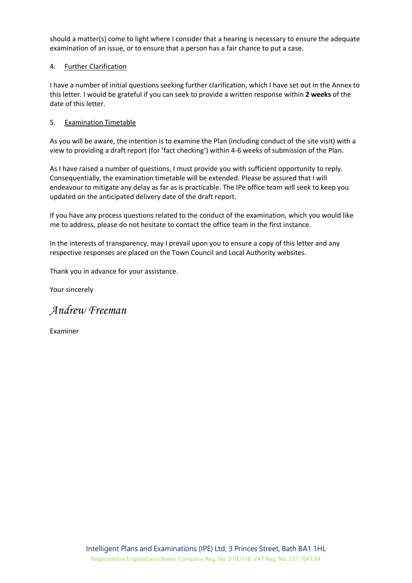should a matter(s) come to light where I consider that a hearing is necessary to ensure the adequate examination of an issue, or to ensure that a person has a fair chance to put a case.

## 4. Further Clarification

I have a number of initial questions seeking further clarification, which I have set out in the Annex to this letter. I would be grateful if you can seek to provide a written response within **2 weeks** of the date of this letter.

# 5. Examination Timetable

As you will be aware, the intention is to examine the Plan (including conduct of the site visit) with a view to providing a draft report (for 'fact checking') within 4-6 weeks of submission of the Plan.

As I have raised a number of questions, I must provide you with sufficient opportunity to reply. Consequentially, the examination timetable will be extended. Please be assured that I will endeavour to mitigate any delay as far as is practicable. The IPe office team will seek to keep you updated on the anticipated delivery date of the draft report.

If you have any process questions related to the conduct of the examination, which you would like me to address, please do not hesitate to contact the office team in the first instance.

In the interests of transparency, may I prevail upon you to ensure a copy of this letter and any respective responses are placed on the Town Council and Local Authority websites.

Thank you in advance for your assistance.

Your sincerely

*Andrew Freeman*

Examiner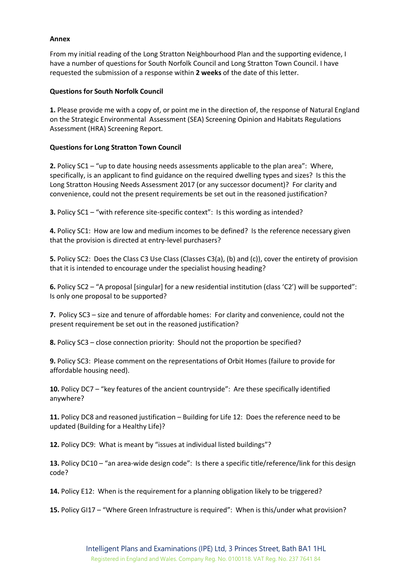### **Annex**

From my initial reading of the Long Stratton Neighbourhood Plan and the supporting evidence, I have a number of questions for South Norfolk Council and Long Stratton Town Council. I have requested the submission of a response within **2 weeks** of the date of this letter.

### **Questions for South Norfolk Council**

**1.** Please provide me with a copy of, or point me in the direction of, the response of Natural England on the Strategic Environmental Assessment (SEA) Screening Opinion and Habitats Regulations Assessment (HRA) Screening Report.

#### **Questions for Long Stratton Town Council**

**2.** Policy SC1 – "up to date housing needs assessments applicable to the plan area": Where, specifically, is an applicant to find guidance on the required dwelling types and sizes? Is this the Long Stratton Housing Needs Assessment 2017 (or any successor document)? For clarity and convenience, could not the present requirements be set out in the reasoned justification?

**3.** Policy SC1 – "with reference site-specific context": Is this wording as intended?

**4.** Policy SC1: How are low and medium incomes to be defined? Is the reference necessary given that the provision is directed at entry-level purchasers?

**5.** Policy SC2: Does the Class C3 Use Class (Classes C3(a), (b) and (c)), cover the entirety of provision that it is intended to encourage under the specialist housing heading?

**6.** Policy SC2 – "A proposal [singular] for a new residential institution (class 'C2') will be supported": Is only one proposal to be supported?

**7.** Policy SC3 – size and tenure of affordable homes: For clarity and convenience, could not the present requirement be set out in the reasoned justification?

**8.** Policy SC3 – close connection priority: Should not the proportion be specified?

**9.** Policy SC3: Please comment on the representations of Orbit Homes (failure to provide for affordable housing need).

**10.** Policy DC7 – "key features of the ancient countryside": Are these specifically identified anywhere?

**11.** Policy DC8 and reasoned justification – Building for Life 12: Does the reference need to be updated (Building for a Healthy Life)?

**12.** Policy DC9: What is meant by "issues at individual listed buildings"?

**13.** Policy DC10 – "an area-wide design code": Is there a specific title/reference/link for this design code?

**14.** Policy E12: When is the requirement for a planning obligation likely to be triggered?

**15.** Policy GI17 – "Where Green Infrastructure is required": When is this/under what provision?